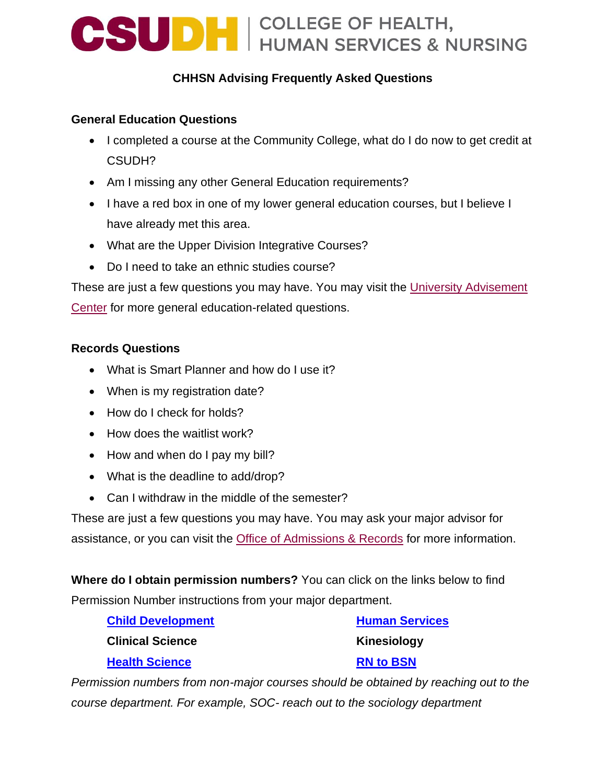## **CSUDH** COLLEGE OF HEALTH,

### **CHHSN Advising Frequently Asked Questions**

#### **General Education Questions**

- I completed a course at the Community College, what do I do now to get credit at CSUDH?
- Am I missing any other General Education requirements?
- I have a red box in one of my lower general education courses, but I believe I have already met this area.
- What are the Upper Division Integrative Courses?
- Do I need to take an ethnic studies course?

These are just a few questions you may have. You may visit the [University Advisement](https://www.csudh.edu/uac/frequently-asked-questions/)  [Center](https://www.csudh.edu/uac/frequently-asked-questions/) for more general education-related questions.

#### **Records Questions**

- What is Smart Planner and how do I use it?
- When is my registration date?
- How do I check for holds?
- How does the waitlist work?
- How and when do I pay my bill?
- What is the deadline to add/drop?
- Can I withdraw in the middle of the semester?

These are just a few questions you may have. You may ask your major advisor for assistance, or you can visit the [Office of Admissions & Records](https://www.csudh.edu/records-registration/registration/) for more information.

**Where do I obtain permission numbers?** You can click on the links below to find Permission Number instructions from your major department.

| <b>Child Development</b> | <b>Human Services</b> |  |
|--------------------------|-----------------------|--|
| <b>Clinical Science</b>  | Kinesiology           |  |
| <b>Health Science</b>    | <b>RN to BSN</b>      |  |

*Permission numbers from non-major courses should be obtained by reaching out to the course department. For example, SOC- reach out to the sociology department*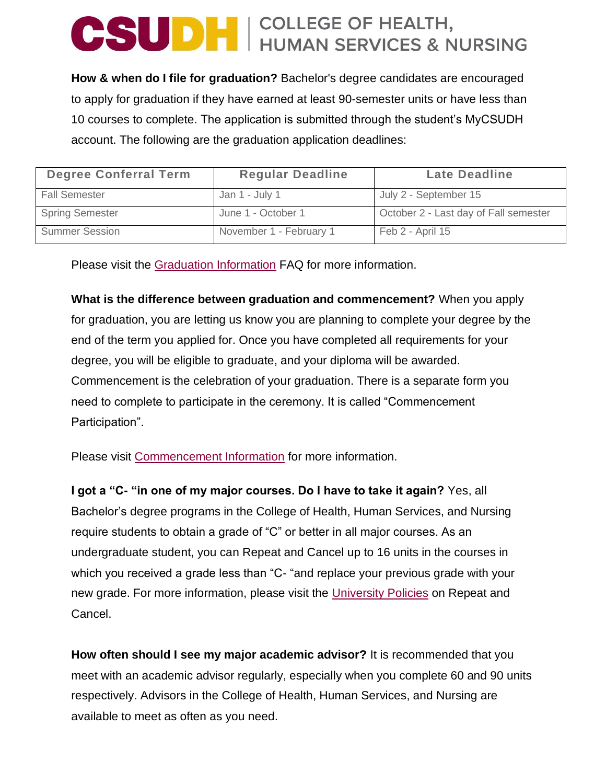# **CSUDH** COLLEGE OF HEALTH,

**How & when do I file for graduation?** Bachelor's degree candidates are encouraged to apply for graduation if they have earned at least 90-semester units or have less than 10 courses to complete. The application is submitted through the student's MyCSUDH account. The following are the graduation application deadlines:

| <b>Degree Conferral Term</b> | <b>Regular Deadline</b> | <b>Late Deadline</b>                  |
|------------------------------|-------------------------|---------------------------------------|
| <b>Fall Semester</b>         | Jan 1 - July 1          | July 2 - September 15                 |
| <b>Spring Semester</b>       | June 1 - October 1      | October 2 - Last day of Fall semester |
| <b>Summer Session</b>        | November 1 - February 1 | Feb 2 - April 15                      |

Please visit the [Graduation Information](https://www.csudh.edu/registrar/graduation/) FAQ for more information.

**What is the difference between graduation and commencement?** When you apply for graduation, you are letting us know you are planning to complete your degree by the end of the term you applied for. Once you have completed all requirements for your degree, you will be eligible to graduate, and your diploma will be awarded. Commencement is the celebration of your graduation. There is a separate form you need to complete to participate in the ceremony. It is called "Commencement Participation".

Please visit [Commencement Information](https://www.csudh.edu/commencement/) for more information.

**I got a "C- "in one of my major courses. Do I have to take it again?** Yes, all Bachelor's degree programs in the College of Health, Human Services, and Nursing require students to obtain a grade of "C" or better in all major courses. As an undergraduate student, you can Repeat and Cancel up to 16 units in the courses in which you received a grade less than "C- "and replace your previous grade with your new grade. For more information, please visit the [University Policies](https://www.csudh.edu/chhsn/chhsn-advising/faq/) on Repeat and Cancel.

**How often should I see my major academic advisor?** It is recommended that you meet with an academic advisor regularly, especially when you complete 60 and 90 units respectively. Advisors in the College of Health, Human Services, and Nursing are available to meet as often as you need.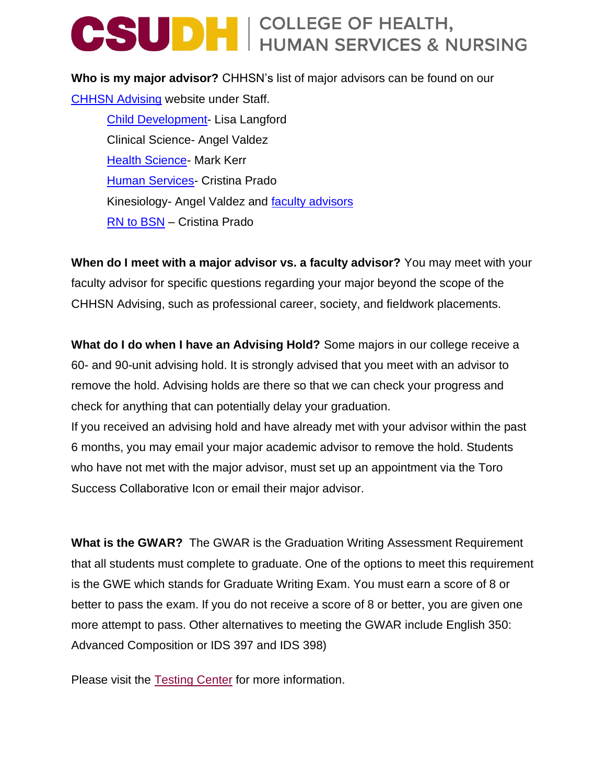## **CSUDH** GOLLEGE OF HEALTH,

**Who is my major advisor?** CHHSN's list of major advisors can be found on our [CHHSN Advising](https://www.csudh.edu/chhsn/chhsn-advising/staff/) website under Staff.

[Child Development-](https://www.csudh.edu/chhsn/chhsn-advising/advising-materials/child-development-advisor-messages) Lisa Langford Clinical Science- Angel Valdez [Health Science-](https://www.csudh.edu/chhsn/chhsn-advising/advising-materials/health-science-advisor-messages) Mark Kerr [Human Services-](https://www.csudh.edu/chhsn/chhsn-advising/advising-materials/human-services-advisor-messages) Cristina Prado Kinesiology- Angel Valdez and [faculty advisors](https://www.csudh.edu/kinesiology/advisement/) [RN to BSN](https://www.csudh.edu/chhsn/chhsn-advising/advising-materials/rn-to-bsn-advisor-message) – Cristina Prado

**When do I meet with a major advisor vs. a faculty advisor?** You may meet with your faculty advisor for specific questions regarding your major beyond the scope of the CHHSN Advising, such as professional career, society, and fieldwork placements.

**What do I do when I have an Advising Hold?** Some majors in our college receive a 60- and 90-unit advising hold. It is strongly advised that you meet with an advisor to remove the hold. Advising holds are there so that we can check your progress and check for anything that can potentially delay your graduation.

If you received an advising hold and have already met with your advisor within the past 6 months, you may email your major academic advisor to remove the hold. Students who have not met with the major advisor, must set up an appointment via the Toro Success Collaborative Icon or email their major advisor.

**What is the GWAR?** The GWAR is the Graduation Writing Assessment Requirement that all students must complete to graduate. One of the options to meet this requirement is the GWE which stands for Graduate Writing Exam. You must earn a score of 8 or better to pass the exam. If you do not receive a score of 8 or better, you are given one more attempt to pass. Other alternatives to meeting the GWAR include English 350: Advanced Composition or IDS 397 and IDS 398)

Please visit the [Testing Center](https://www.csudh.edu/tltc/testing-center/) for more information.